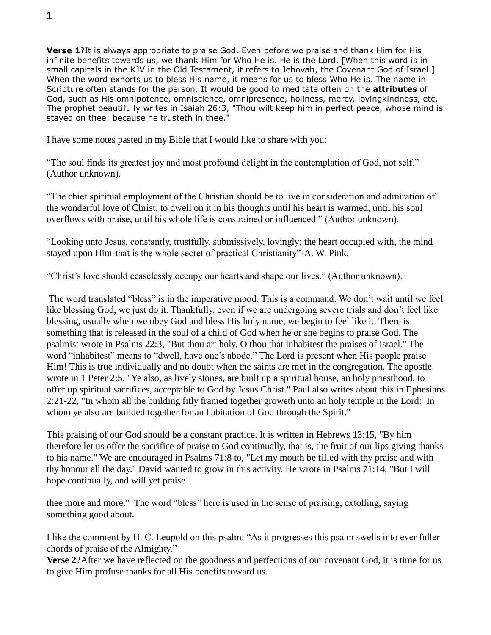**Verse 1**?It is always appropriate to praise God. Even before we praise and thank Him for His infinite benefits towards us, we thank Him for Who He is. He is the Lord. [When this word is in small capitals in the KJV in the Old Testament, it refers to Jehovah, the Covenant God of Israel.] When the word exhorts us to bless His name, it means for us to bless Who He is. The name in Scripture often stands for the person. It would be good to meditate often on the **attributes** of God, such as His omnipotence, omniscience, omnipresence, holiness, mercy, lovingkindness, etc. The prophet beautifully writes in Isaiah 26:3, "Thou wilt keep him in perfect peace, whose mind is stayed on thee: because he trusteth in thee."

I have some notes pasted in my Bible that I would like to share with you:

"The soul finds its greatest joy and most profound delight in the contemplation of God, not self." (Author unknown).

"The chief spiritual employment of the Christian should be to live in consideration and admiration of the wonderful love of Christ, to dwell on it in his thoughts until his heart is warmed, until his soul overflows with praise, until his whole life is constrained or influenced." (Author unknown).

"Looking unto Jesus, constantly, trustfully, submissively, lovingly; the heart occupied with, the mind stayed upon Him-that is the whole secret of practical Christianity"-A. W. Pink.

"Christ's love should ceaselessly occupy our hearts and shape our lives." (Author unknown).

The word translated "bless" is in the imperative mood. This is a command. We don't wait until we feel like blessing God, we just do it. Thankfully, even if we are undergoing severe trials and don't feel like blessing, usually when we obey God and bless His holy name, we begin to feel like it. There is something that is released in the soul of a child of God when he or she begins to praise God. The psalmist wrote in Psalms 22:3, "But thou art holy, O thou that inhabitest the praises of Israel." The word "inhabitest" means to "dwell, have one's abode." The Lord is present when His people praise Him! This is true individually and no doubt when the saints are met in the congregation. The apostle wrote in 1 Peter 2:5, "Ye also, as lively stones, are built up a spiritual house, an holy priesthood, to offer up spiritual sacrifices, acceptable to God by Jesus Christ." Paul also writes about this in Ephesians 2:21-22, "In whom all the building fitly framed together groweth unto an holy temple in the Lord: In whom ye also are builded together for an habitation of God through the Spirit."

This praising of our God should be a constant practice. It is written in Hebrews 13:15, "By him therefore let us offer the sacrifice of praise to God continually, that is, the fruit of our lips giving thanks to his name." We are encouraged in Psalms 71:8 to, "Let my mouth be filled with thy praise and with thy honour all the day." David wanted to grow in this activity. He wrote in Psalms 71:14, "But I will hope continually, and will yet praise

thee more and more." The word "bless" here is used in the sense of praising, extolling, saying something good about.

I like the comment by H. C. Leupold on this psalm: "As it progresses this psalm swells into ever fuller chords of praise of the Almighty."

**Verse 2**?After we have reflected on the goodness and perfections of our covenant God, it is time for us to give Him profuse thanks for all His benefits toward us.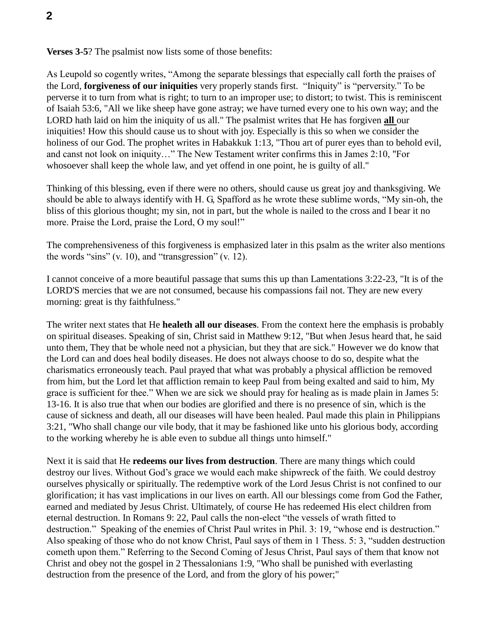**Verses 3-5**? The psalmist now lists some of those benefits:

As Leupold so cogently writes, "Among the separate blessings that especially call forth the praises of the Lord, **forgiveness of our iniquities** very properly stands first. "Iniquity" is "perversity." To be perverse it to turn from what is right; to turn to an improper use; to distort; to twist. This is reminiscent of Isaiah 53:6, "All we like sheep have gone astray; we have turned every one to his own way; and the LORD hath laid on him the iniquity of us all." The psalmist writes that He has forgiven **all** our iniquities! How this should cause us to shout with joy. Especially is this so when we consider the holiness of our God. The prophet writes in Habakkuk 1:13, "Thou art of purer eyes than to behold evil, and canst not look on iniquity…" The New Testament writer confirms this in James 2:10, "For whosoever shall keep the whole law, and yet offend in one point, he is guilty of all."

Thinking of this blessing, even if there were no others, should cause us great joy and thanksgiving. We should be able to always identify with H. G, Spafford as he wrote these sublime words, "My sin-oh, the bliss of this glorious thought; my sin, not in part, but the whole is nailed to the cross and I bear it no more. Praise the Lord, praise the Lord, O my soul!"

The comprehensiveness of this forgiveness is emphasized later in this psalm as the writer also mentions the words "sins" (v. 10), and "transgression" (v. 12).

I cannot conceive of a more beautiful passage that sums this up than Lamentations 3:22-23, "It is of the LORD'S mercies that we are not consumed, because his compassions fail not. They are new every morning: great is thy faithfulness."

The writer next states that He **healeth all our diseases**. From the context here the emphasis is probably on spiritual diseases. Speaking of sin, Christ said in Matthew 9:12, "But when Jesus heard that, he said unto them, They that be whole need not a physician, but they that are sick." However we do know that the Lord can and does heal bodily diseases. He does not always choose to do so, despite what the charismatics erroneously teach. Paul prayed that what was probably a physical affliction be removed from him, but the Lord let that affliction remain to keep Paul from being exalted and said to him, My grace is sufficient for thee." When we are sick we should pray for healing as is made plain in James 5: 13-16. It is also true that when our bodies are glorified and there is no presence of sin, which is the cause of sickness and death, all our diseases will have been healed. Paul made this plain in Philippians 3:21, "Who shall change our vile body, that it may be fashioned like unto his glorious body, according to the working whereby he is able even to subdue all things unto himself."

Next it is said that He **redeems our lives from destruction**. There are many things which could destroy our lives. Without God's grace we would each make shipwreck of the faith. We could destroy ourselves physically or spiritually. The redemptive work of the Lord Jesus Christ is not confined to our glorification; it has vast implications in our lives on earth. All our blessings come from God the Father, earned and mediated by Jesus Christ. Ultimately, of course He has redeemed His elect children from eternal destruction. In Romans 9: 22, Paul calls the non-elect "the vessels of wrath fitted to destruction." Speaking of the enemies of Christ Paul writes in Phil. 3: 19, "whose end is destruction." Also speaking of those who do not know Christ, Paul says of them in 1 Thess. 5: 3, "sudden destruction cometh upon them." Referring to the Second Coming of Jesus Christ, Paul says of them that know not Christ and obey not the gospel in 2 Thessalonians 1:9, "Who shall be punished with everlasting destruction from the presence of the Lord, and from the glory of his power;"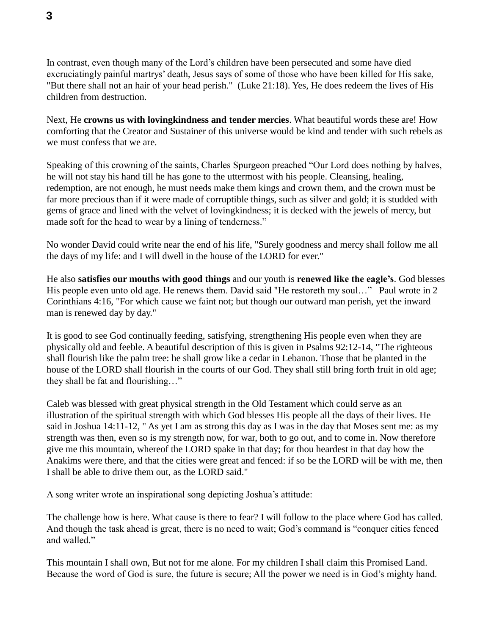In contrast, even though many of the Lord's children have been persecuted and some have died excruciatingly painful martrys' death, Jesus says of some of those who have been killed for His sake, "But there shall not an hair of your head perish." (Luke 21:18). Yes, He does redeem the lives of His children from destruction.

Next, He **crowns us with lovingkindness and tender mercies**. What beautiful words these are! How comforting that the Creator and Sustainer of this universe would be kind and tender with such rebels as we must confess that we are.

Speaking of this crowning of the saints, Charles Spurgeon preached "Our Lord does nothing by halves, he will not stay his hand till he has gone to the uttermost with his people. Cleansing, healing, redemption, are not enough, he must needs make them kings and crown them, and the crown must be far more precious than if it were made of corruptible things, such as silver and gold; it is studded with gems of grace and lined with the velvet of lovingkindness; it is decked with the jewels of mercy, but made soft for the head to wear by a lining of tenderness."

No wonder David could write near the end of his life, "Surely goodness and mercy shall follow me all the days of my life: and I will dwell in the house of the LORD for ever."

He also **satisfies our mouths with good things** and our youth is **renewed like the eagle's**. God blesses His people even unto old age. He renews them. David said "He restoreth my soul..." Paul wrote in 2 Corinthians 4:16, "For which cause we faint not; but though our outward man perish, yet the inward man is renewed day by day."

It is good to see God continually feeding, satisfying, strengthening His people even when they are physically old and feeble. A beautiful description of this is given in Psalms 92:12-14, "The righteous shall flourish like the palm tree: he shall grow like a cedar in Lebanon. Those that be planted in the house of the LORD shall flourish in the courts of our God. They shall still bring forth fruit in old age; they shall be fat and flourishing…"

Caleb was blessed with great physical strength in the Old Testament which could serve as an illustration of the spiritual strength with which God blesses His people all the days of their lives. He said in Joshua 14:11-12, " As yet I am as strong this day as I was in the day that Moses sent me: as my strength was then, even so is my strength now, for war, both to go out, and to come in. Now therefore give me this mountain, whereof the LORD spake in that day; for thou heardest in that day how the Anakims were there, and that the cities were great and fenced: if so be the LORD will be with me, then I shall be able to drive them out, as the LORD said."

A song writer wrote an inspirational song depicting Joshua's attitude:

The challenge how is here. What cause is there to fear? I will follow to the place where God has called. And though the task ahead is great, there is no need to wait; God's command is "conquer cities fenced and walled."

This mountain I shall own, But not for me alone. For my children I shall claim this Promised Land. Because the word of God is sure, the future is secure; All the power we need is in God's mighty hand.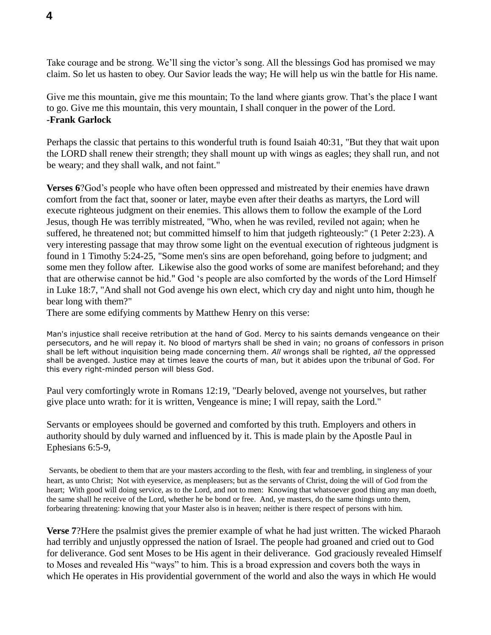Take courage and be strong. We'll sing the victor's song. All the blessings God has promised we may claim. So let us hasten to obey. Our Savior leads the way; He will help us win the battle for His name.

Give me this mountain, give me this mountain; To the land where giants grow. That's the place I want to go. Give me this mountain, this very mountain, I shall conquer in the power of the Lord. **-Frank Garlock**

Perhaps the classic that pertains to this wonderful truth is found Isaiah 40:31, "But they that wait upon the LORD shall renew their strength; they shall mount up with wings as eagles; they shall run, and not be weary; and they shall walk, and not faint."

**Verses 6**?God's people who have often been oppressed and mistreated by their enemies have drawn comfort from the fact that, sooner or later, maybe even after their deaths as martyrs, the Lord will execute righteous judgment on their enemies. This allows them to follow the example of the Lord Jesus, though He was terribly mistreated, "Who, when he was reviled, reviled not again; when he suffered, he threatened not; but committed himself to him that judgeth righteously:" (1 Peter 2:23). A very interesting passage that may throw some light on the eventual execution of righteous judgment is found in 1 Timothy 5:24-25, "Some men's sins are open beforehand, going before to judgment; and some men they follow after. Likewise also the good works of some are manifest beforehand; and they that are otherwise cannot be hid." God 's people are also comforted by the words of the Lord Himself in Luke 18:7, "And shall not God avenge his own elect, which cry day and night unto him, though he bear long with them?"

There are some edifying comments by Matthew Henry on this verse:

Man's injustice shall receive retribution at the hand of God. Mercy to his saints demands vengeance on their persecutors, and he will repay it. No blood of martyrs shall be shed in vain; no groans of confessors in prison shall be left without inquisition being made concerning them. *All* wrongs shall be righted, *all* the oppressed shall be avenged. Justice may at times leave the courts of man, but it abides upon the tribunal of God. For this every right-minded person will bless God.

Paul very comfortingly wrote in Romans 12:19, "Dearly beloved, avenge not yourselves, but rather give place unto wrath: for it is written, Vengeance is mine; I will repay, saith the Lord."

Servants or employees should be governed and comforted by this truth. Employers and others in authority should by duly warned and influenced by it. This is made plain by the Apostle Paul in Ephesians 6:5-9,

Servants, be obedient to them that are your masters according to the flesh, with fear and trembling, in singleness of your heart, as unto Christ; Not with eyeservice, as menpleasers; but as the servants of Christ, doing the will of God from the heart; With good will doing service, as to the Lord, and not to men: Knowing that whatsoever good thing any man doeth, the same shall he receive of the Lord, whether he be bond or free. And, ye masters, do the same things unto them, forbearing threatening: knowing that your Master also is in heaven; neither is there respect of persons with him.

**Verse 7**?Here the psalmist gives the premier example of what he had just written. The wicked Pharaoh had terribly and unjustly oppressed the nation of Israel. The people had groaned and cried out to God for deliverance. God sent Moses to be His agent in their deliverance. God graciously revealed Himself to Moses and revealed His "ways" to him. This is a broad expression and covers both the ways in which He operates in His providential government of the world and also the ways in which He would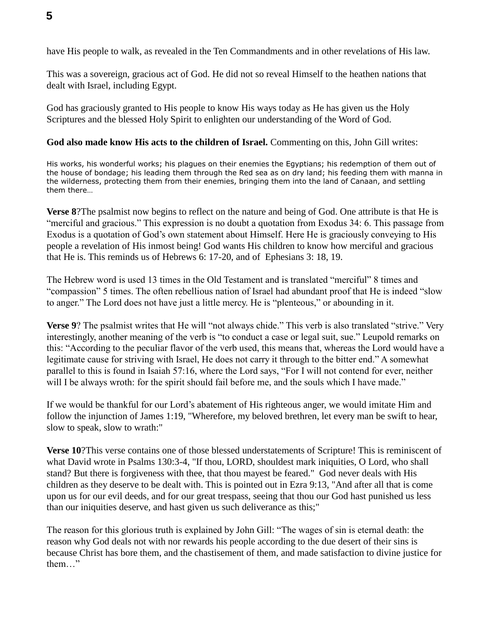have His people to walk, as revealed in the Ten Commandments and in other revelations of His law.

This was a sovereign, gracious act of God. He did not so reveal Himself to the heathen nations that dealt with Israel, including Egypt.

God has graciously granted to His people to know His ways today as He has given us the Holy Scriptures and the blessed Holy Spirit to enlighten our understanding of the Word of God.

## **God also made know His acts to the children of Israel.** Commenting on this, John Gill writes:

His works, his wonderful works; his plagues on their enemies the Egyptians; his redemption of them out of the house of bondage; his leading them through the Red sea as on dry land; his feeding them with manna in the wilderness, protecting them from their enemies, bringing them into the land of Canaan, and settling them there…

**Verse 8**?The psalmist now begins to reflect on the nature and being of God. One attribute is that He is "merciful and gracious." This expression is no doubt a quotation from Exodus 34: 6. This passage from Exodus is a quotation of God's own statement about Himself. Here He is graciously conveying to His people a revelation of His inmost being! God wants His children to know how merciful and gracious that He is. This reminds us of Hebrews 6: 17-20, and of Ephesians 3: 18, 19.

The Hebrew word is used 13 times in the Old Testament and is translated "merciful" 8 times and "compassion" 5 times. The often rebellious nation of Israel had abundant proof that He is indeed "slow to anger." The Lord does not have just a little mercy. He is "plenteous," or abounding in it.

**Verse 9**? The psalmist writes that He will "not always chide." This verb is also translated "strive." Very interestingly, another meaning of the verb is "to conduct a case or legal suit, sue." Leupold remarks on this: "According to the peculiar flavor of the verb used, this means that, whereas the Lord would have a legitimate cause for striving with Israel, He does not carry it through to the bitter end." A somewhat parallel to this is found in Isaiah 57:16, where the Lord says, "For I will not contend for ever, neither will I be always wroth: for the spirit should fail before me, and the souls which I have made."

If we would be thankful for our Lord's abatement of His righteous anger, we would imitate Him and follow the injunction of James 1:19, "Wherefore, my beloved brethren, let every man be swift to hear, slow to speak, slow to wrath:"

**Verse 10**?This verse contains one of those blessed understatements of Scripture! This is reminiscent of what David wrote in Psalms 130:3-4, "If thou, LORD, shouldest mark iniquities, O Lord, who shall stand? But there is forgiveness with thee, that thou mayest be feared." God never deals with His children as they deserve to be dealt with. This is pointed out in Ezra 9:13, "And after all that is come upon us for our evil deeds, and for our great trespass, seeing that thou our God hast punished us less than our iniquities deserve, and hast given us such deliverance as this;"

The reason for this glorious truth is explained by John Gill: "The wages of sin is eternal death: the reason why God deals not with nor rewards his people according to the due desert of their sins is because Christ has bore them, and the chastisement of them, and made satisfaction to divine justice for them…"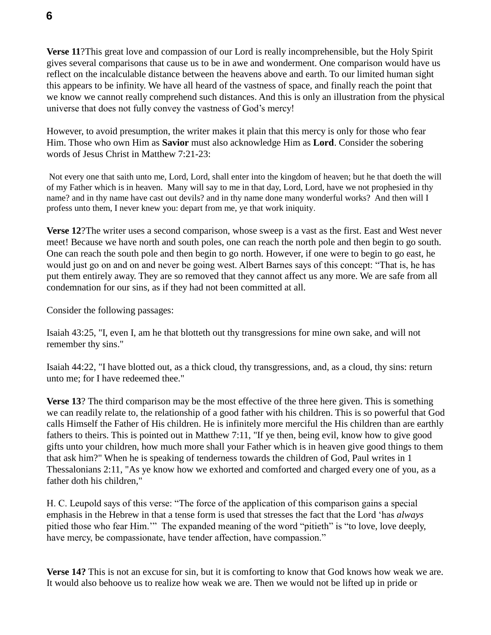**Verse 11**?This great love and compassion of our Lord is really incomprehensible, but the Holy Spirit gives several comparisons that cause us to be in awe and wonderment. One comparison would have us reflect on the incalculable distance between the heavens above and earth. To our limited human sight this appears to be infinity. We have all heard of the vastness of space, and finally reach the point that we know we cannot really comprehend such distances. And this is only an illustration from the physical universe that does not fully convey the vastness of God's mercy!

However, to avoid presumption, the writer makes it plain that this mercy is only for those who fear Him. Those who own Him as **Savior** must also acknowledge Him as **Lord**. Consider the sobering words of Jesus Christ in Matthew 7:21-23:

Not every one that saith unto me, Lord, Lord, shall enter into the kingdom of heaven; but he that doeth the will of my Father which is in heaven. Many will say to me in that day, Lord, Lord, have we not prophesied in thy name? and in thy name have cast out devils? and in thy name done many wonderful works? And then will I profess unto them, I never knew you: depart from me, ye that work iniquity.

**Verse 12**?The writer uses a second comparison, whose sweep is a vast as the first. East and West never meet! Because we have north and south poles, one can reach the north pole and then begin to go south. One can reach the south pole and then begin to go north. However, if one were to begin to go east, he would just go on and on and never be going west. Albert Barnes says of this concept: "That is, he has put them entirely away. They are so removed that they cannot affect us any more. We are safe from all condemnation for our sins, as if they had not been committed at all.

Consider the following passages:

Isaiah 43:25, "I, even I, am he that blotteth out thy transgressions for mine own sake, and will not remember thy sins."

Isaiah 44:22, "I have blotted out, as a thick cloud, thy transgressions, and, as a cloud, thy sins: return unto me; for I have redeemed thee."

**Verse 13**? The third comparison may be the most effective of the three here given. This is something we can readily relate to, the relationship of a good father with his children. This is so powerful that God calls Himself the Father of His children. He is infinitely more merciful the His children than are earthly fathers to theirs. This is pointed out in Matthew 7:11, "If ye then, being evil, know how to give good gifts unto your children, how much more shall your Father which is in heaven give good things to them that ask him?" When he is speaking of tenderness towards the children of God, Paul writes in 1 Thessalonians 2:11, "As ye know how we exhorted and comforted and charged every one of you, as a father doth his children,"

H. C. Leupold says of this verse: "The force of the application of this comparison gains a special emphasis in the Hebrew in that a tense form is used that stresses the fact that the Lord 'has *always* pitied those who fear Him.'" The expanded meaning of the word "pitieth" is "to love, love deeply, have mercy, be compassionate, have tender affection, have compassion."

**Verse 14?** This is not an excuse for sin, but it is comforting to know that God knows how weak we are. It would also behoove us to realize how weak we are. Then we would not be lifted up in pride or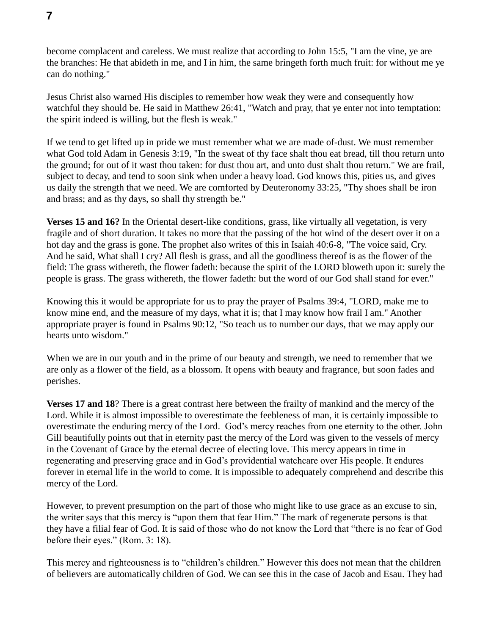become complacent and careless. We must realize that according to John 15:5, "I am the vine, ye are the branches: He that abideth in me, and I in him, the same bringeth forth much fruit: for without me ye can do nothing."

Jesus Christ also warned His disciples to remember how weak they were and consequently how watchful they should be. He said in Matthew 26:41, "Watch and pray, that ye enter not into temptation: the spirit indeed is willing, but the flesh is weak."

If we tend to get lifted up in pride we must remember what we are made of-dust. We must remember what God told Adam in Genesis 3:19, "In the sweat of thy face shalt thou eat bread, till thou return unto the ground; for out of it wast thou taken: for dust thou art, and unto dust shalt thou return." We are frail, subject to decay, and tend to soon sink when under a heavy load. God knows this, pities us, and gives us daily the strength that we need. We are comforted by Deuteronomy 33:25, "Thy shoes shall be iron and brass; and as thy days, so shall thy strength be."

**Verses 15 and 16?** In the Oriental desert-like conditions, grass, like virtually all vegetation, is very fragile and of short duration. It takes no more that the passing of the hot wind of the desert over it on a hot day and the grass is gone. The prophet also writes of this in Isaiah 40:6-8, "The voice said, Cry. And he said, What shall I cry? All flesh is grass, and all the goodliness thereof is as the flower of the field: The grass withereth, the flower fadeth: because the spirit of the LORD bloweth upon it: surely the people is grass. The grass withereth, the flower fadeth: but the word of our God shall stand for ever."

Knowing this it would be appropriate for us to pray the prayer of Psalms 39:4, "LORD, make me to know mine end, and the measure of my days, what it is; that I may know how frail I am." Another appropriate prayer is found in Psalms 90:12, "So teach us to number our days, that we may apply our hearts unto wisdom."

When we are in our youth and in the prime of our beauty and strength, we need to remember that we are only as a flower of the field, as a blossom. It opens with beauty and fragrance, but soon fades and perishes.

**Verses 17 and 18**? There is a great contrast here between the frailty of mankind and the mercy of the Lord. While it is almost impossible to overestimate the feebleness of man, it is certainly impossible to overestimate the enduring mercy of the Lord. God's mercy reaches from one eternity to the other. John Gill beautifully points out that in eternity past the mercy of the Lord was given to the vessels of mercy in the Covenant of Grace by the eternal decree of electing love. This mercy appears in time in regenerating and preserving grace and in God's providential watchcare over His people. It endures forever in eternal life in the world to come. It is impossible to adequately comprehend and describe this mercy of the Lord.

However, to prevent presumption on the part of those who might like to use grace as an excuse to sin, the writer says that this mercy is "upon them that fear Him." The mark of regenerate persons is that they have a filial fear of God. It is said of those who do not know the Lord that "there is no fear of God before their eyes." (Rom. 3: 18).

This mercy and righteousness is to "children's children." However this does not mean that the children of believers are automatically children of God. We can see this in the case of Jacob and Esau. They had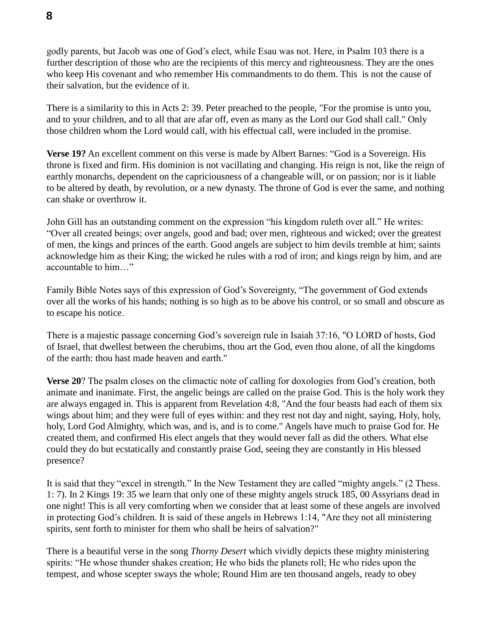godly parents, but Jacob was one of God's elect, while Esau was not. Here, in Psalm 103 there is a further description of those who are the recipients of this mercy and righteousness. They are the ones who keep His covenant and who remember His commandments to do them. This is not the cause of their salvation, but the evidence of it.

There is a similarity to this in Acts 2: 39. Peter preached to the people, "For the promise is unto you, and to your children, and to all that are afar off, even as many as the Lord our God shall call." Only those children whom the Lord would call, with his effectual call, were included in the promise.

**Verse 19?** An excellent comment on this verse is made by Albert Barnes: "God is a Sovereign. His throne is fixed and firm. His dominion is not vacillating and changing. His reign is not, like the reign of earthly monarchs, dependent on the capriciousness of a changeable will, or on passion; nor is it liable to be altered by death, by revolution, or a new dynasty. The throne of God is ever the same, and nothing can shake or overthrow it.

John Gill has an outstanding comment on the expression "his kingdom ruleth over all." He writes: "Over all created beings; over angels, good and bad; over men, righteous and wicked; over the greatest of men, the kings and princes of the earth. Good angels are subject to him devils tremble at him; saints acknowledge him as their King; the wicked he rules with a rod of iron; and kings reign by him, and are accountable to him…"

Family Bible Notes says of this expression of God's Sovereignty, "The government of God extends over all the works of his hands; nothing is so high as to be above his control, or so small and obscure as to escape his notice.

There is a majestic passage concerning God's sovereign rule in Isaiah 37:16, "O LORD of hosts, God of Israel, that dwellest between the cherubims, thou art the God, even thou alone, of all the kingdoms of the earth: thou hast made heaven and earth."

**Verse 20**? The psalm closes on the climactic note of calling for doxologies from God's creation, both animate and inanimate. First, the angelic beings are called on the praise God. This is the holy work they are always engaged in. This is apparent from Revelation 4:8, "And the four beasts had each of them six wings about him; and they were full of eyes within: and they rest not day and night, saying, Holy, holy, holy, Lord God Almighty, which was, and is, and is to come." Angels have much to praise God for. He created them, and confirmed His elect angels that they would never fall as did the others. What else could they do but ecstatically and constantly praise God, seeing they are constantly in His blessed presence?

It is said that they "excel in strength." In the New Testament they are called "mighty angels." (2 Thess. 1: 7). In 2 Kings 19: 35 we learn that only one of these mighty angels struck 185, 00 Assyrians dead in one night! This is all very comforting when we consider that at least some of these angels are involved in protecting God's children. It is said of these angels in Hebrews 1:14, "Are they not all ministering spirits, sent forth to minister for them who shall be heirs of salvation?"

There is a beautiful verse in the song *Thorny Desert* which vividly depicts these mighty ministering spirits: "He whose thunder shakes creation; He who bids the planets roll; He who rides upon the tempest, and whose scepter sways the whole; Round Him are ten thousand angels, ready to obey